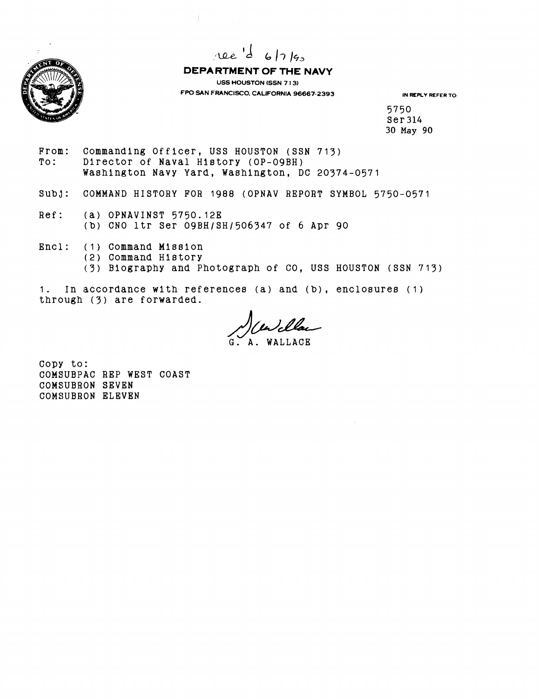

 $\pi$ ee 'd 6/7/90

**DEPARTMENT OF THE NAVY USS HOUSTON (SSN 7 13) FPO SAN FRANCISCO. CALIFORNIA 96667-2393 IN REPLY REFER TO:** 

5750 Ser 314 30 May **90** 

From: Commanding Officer, USS HOUSTON (SSN 713)<br>To: Director of Naval History (OP-09BH) Director of Naval History (OP-09BH) Washlngton Navy Yard, Washington, DC 20374-0571

 $\frac{1}{2}$ 

- SUbJ: COMMAND HISTORY FOR 1988 (OPNAV REPORT SYMBOL 5750-0571
- Ref: (a) OPNAVINST 5750.12E (b) CNO ltr Ser 09BH/SH/506347 of 6 Apr 90
- Encl: (I) Command Mission
	- (2) Command Hlstory
		- (3) Biography and Photograph of CO, USS HOUSTON (SSN 713)

1. In accordance wlth references (a) and (b), enclosures (1) through (3) are forwarded.

*AWL Clam* 

Copy to: COMSUBPAC REP WEST COAST COMSUBRON SEVEN COMSUBRON ELEVEN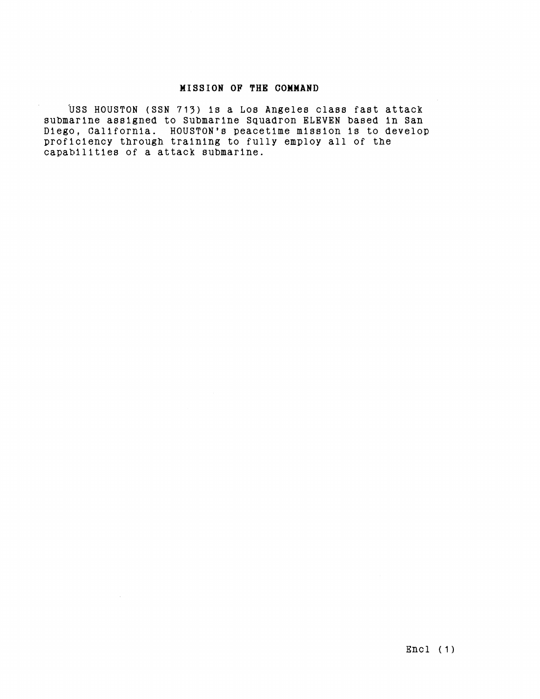## **MISSION OF THE COMMAND**

USS HOUSTON (SSN 713) is a Los Angeles class fast attack submarine assigned to Submarine Squadron ELEVEN based in San Diego, California. HOUSTON'a peacetime mission is to develop proficiency through training to fully employ all of the capabilities of a attack submarine.